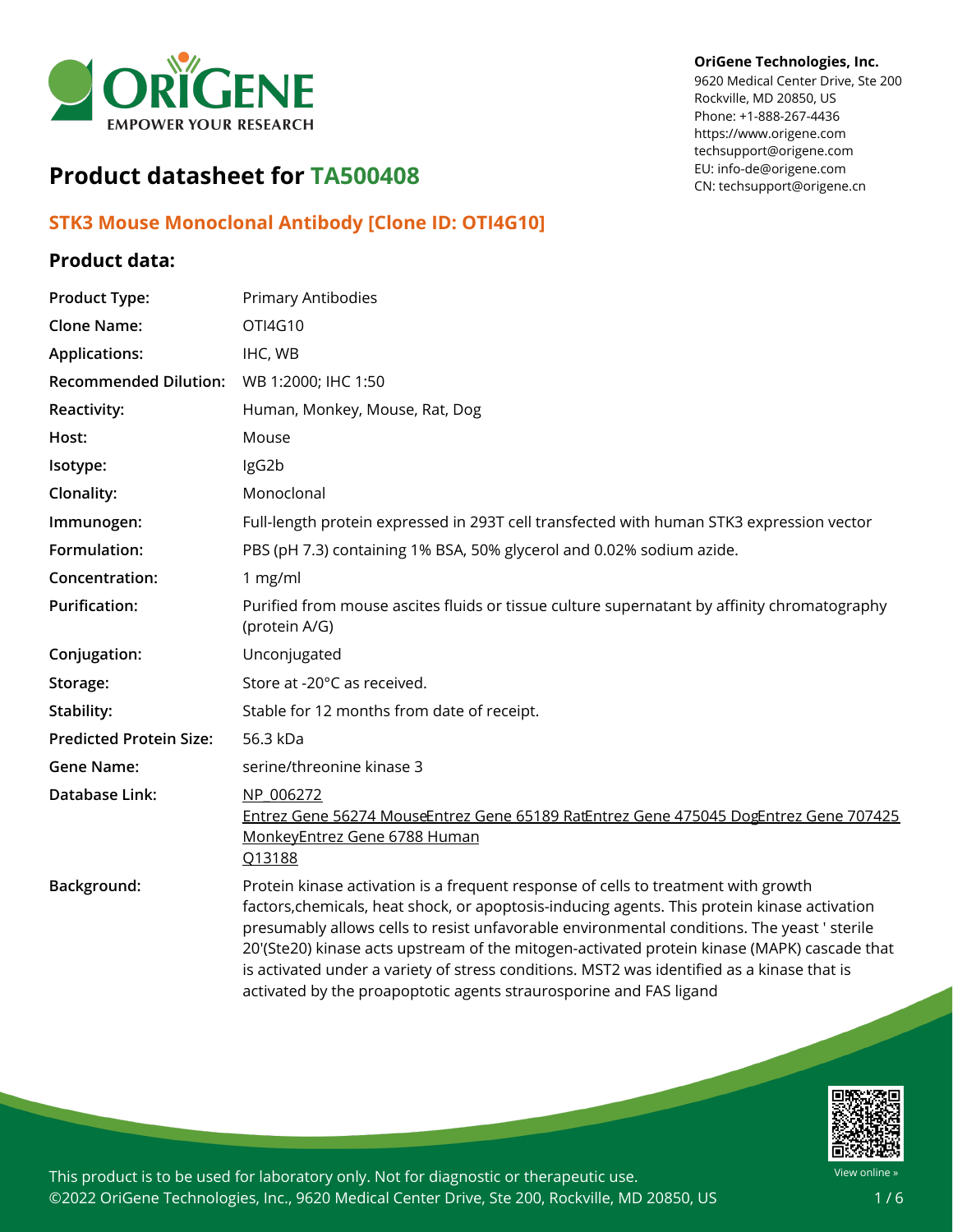

#### **OriGene Technologies, Inc.**

9620 Medical Center Drive, Ste 200 Rockville, MD 20850, US Phone: +1-888-267-4436 https://www.origene.com techsupport@origene.com EU: info-de@origene.com CN: techsupport@origene.cn

# **Product datasheet for TA500408**

### **STK3 Mouse Monoclonal Antibody [Clone ID: OTI4G10]**

#### **Product data:**

| <b>Product Type:</b>           | Primary Antibodies                                                                                                                                                                                                                                                                                                                                                                                                                                                                                                                                   |
|--------------------------------|------------------------------------------------------------------------------------------------------------------------------------------------------------------------------------------------------------------------------------------------------------------------------------------------------------------------------------------------------------------------------------------------------------------------------------------------------------------------------------------------------------------------------------------------------|
| <b>Clone Name:</b>             | OTI4G10                                                                                                                                                                                                                                                                                                                                                                                                                                                                                                                                              |
| <b>Applications:</b>           | IHC, WB                                                                                                                                                                                                                                                                                                                                                                                                                                                                                                                                              |
| <b>Recommended Dilution:</b>   | WB 1:2000; IHC 1:50                                                                                                                                                                                                                                                                                                                                                                                                                                                                                                                                  |
| <b>Reactivity:</b>             | Human, Monkey, Mouse, Rat, Dog                                                                                                                                                                                                                                                                                                                                                                                                                                                                                                                       |
| Host:                          | Mouse                                                                                                                                                                                                                                                                                                                                                                                                                                                                                                                                                |
| Isotype:                       | IgG2b                                                                                                                                                                                                                                                                                                                                                                                                                                                                                                                                                |
| Clonality:                     | Monoclonal                                                                                                                                                                                                                                                                                                                                                                                                                                                                                                                                           |
| Immunogen:                     | Full-length protein expressed in 293T cell transfected with human STK3 expression vector                                                                                                                                                                                                                                                                                                                                                                                                                                                             |
| Formulation:                   | PBS (pH 7.3) containing 1% BSA, 50% glycerol and 0.02% sodium azide.                                                                                                                                                                                                                                                                                                                                                                                                                                                                                 |
| Concentration:                 | 1 $mg/ml$                                                                                                                                                                                                                                                                                                                                                                                                                                                                                                                                            |
| <b>Purification:</b>           | Purified from mouse ascites fluids or tissue culture supernatant by affinity chromatography<br>(protein A/G)                                                                                                                                                                                                                                                                                                                                                                                                                                         |
| Conjugation:                   | Unconjugated                                                                                                                                                                                                                                                                                                                                                                                                                                                                                                                                         |
| Storage:                       | Store at -20°C as received.                                                                                                                                                                                                                                                                                                                                                                                                                                                                                                                          |
| Stability:                     | Stable for 12 months from date of receipt.                                                                                                                                                                                                                                                                                                                                                                                                                                                                                                           |
| <b>Predicted Protein Size:</b> | 56.3 kDa                                                                                                                                                                                                                                                                                                                                                                                                                                                                                                                                             |
| <b>Gene Name:</b>              | serine/threonine kinase 3                                                                                                                                                                                                                                                                                                                                                                                                                                                                                                                            |
| Database Link:                 | NP 006272<br>Entrez Gene 56274 MouseEntrez Gene 65189 RatEntrez Gene 475045 DogEntrez Gene 707425<br>MonkeyEntrez Gene 6788 Human<br>Q13188                                                                                                                                                                                                                                                                                                                                                                                                          |
| Background:                    | Protein kinase activation is a frequent response of cells to treatment with growth<br>factors, chemicals, heat shock, or apoptosis-inducing agents. This protein kinase activation<br>presumably allows cells to resist unfavorable environmental conditions. The yeast ' sterile<br>20'(Ste20) kinase acts upstream of the mitogen-activated protein kinase (MAPK) cascade that<br>is activated under a variety of stress conditions. MST2 was identified as a kinase that is<br>activated by the proapoptotic agents straurosporine and FAS ligand |

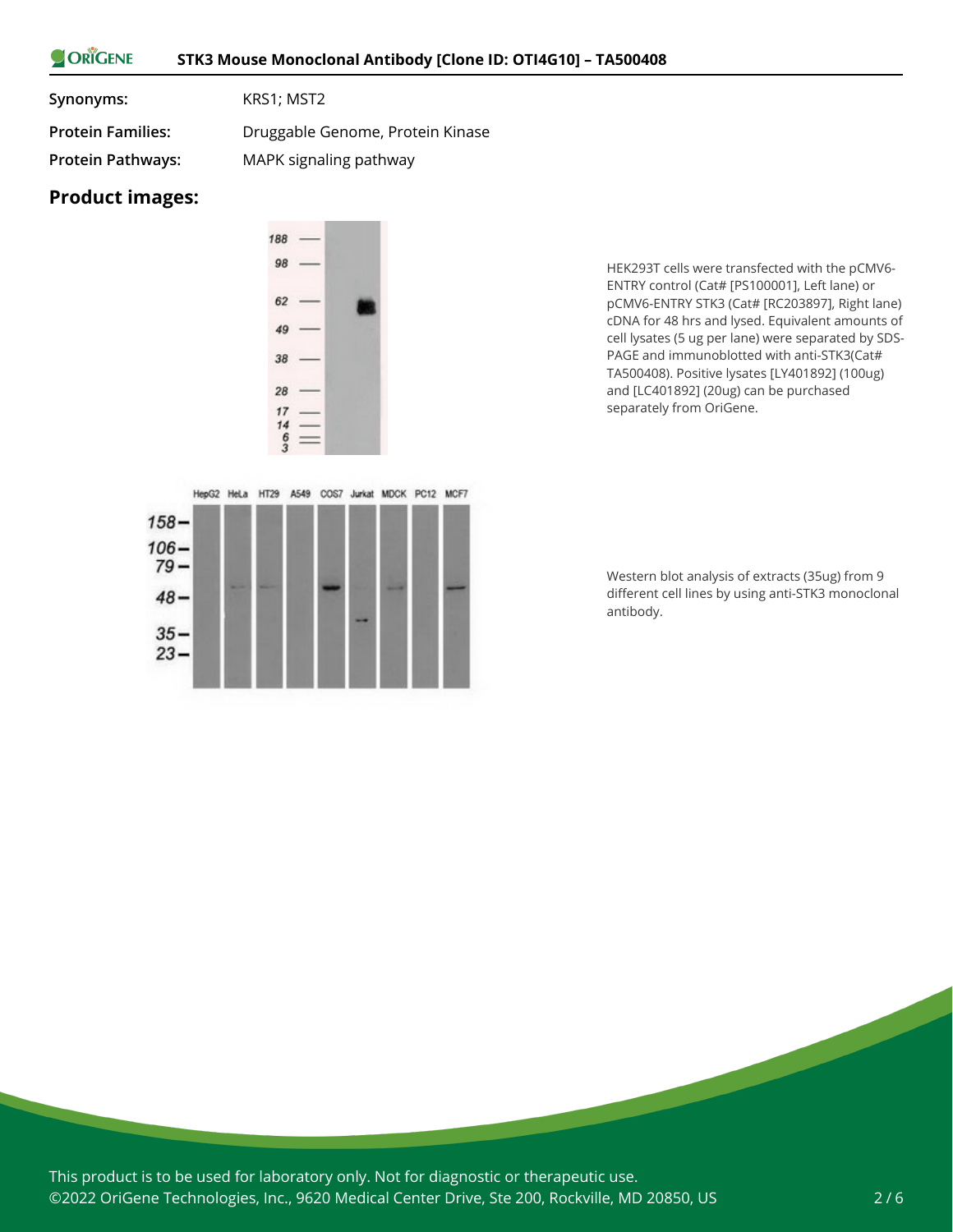#### ORIGENE **STK3 Mouse Monoclonal Antibody [Clone ID: OTI4G10] – TA500408**

**Synonyms:** KRS1; MST2

**Protein Families:** Druggable Genome, Protein Kinase **Protein Pathways:** MAPK signaling pathway

## **Product images:**

 $158 106 79 -$ 

 $48 -$ 

 $35 23 -$ 



HepG2 HeLa HT29 A549 COS7 Jurkat MDCK PC12 MCF7

HEK293T cells were transfected with the pCMV6- ENTRY control (Cat# [PS100001], Left lane) or pCMV6-ENTRY STK3 (Cat# [RC203897], Right lane) cDNA for 48 hrs and lysed. Equivalent amounts of cell lysates (5 ug per lane) were separated by SDS-PAGE and immunoblotted with anti-STK3(Cat# TA500408). Positive lysates [LY401892] (100ug) and [LC401892] (20ug) can be purchased separately from OriGene.

Western blot analysis of extracts (35ug) from 9 different cell lines by using anti-STK3 monoclonal antibody.



This product is to be used for laboratory only. Not for diagnostic or therapeutic use. ©2022 OriGene Technologies, Inc., 9620 Medical Center Drive, Ste 200, Rockville, MD 20850, US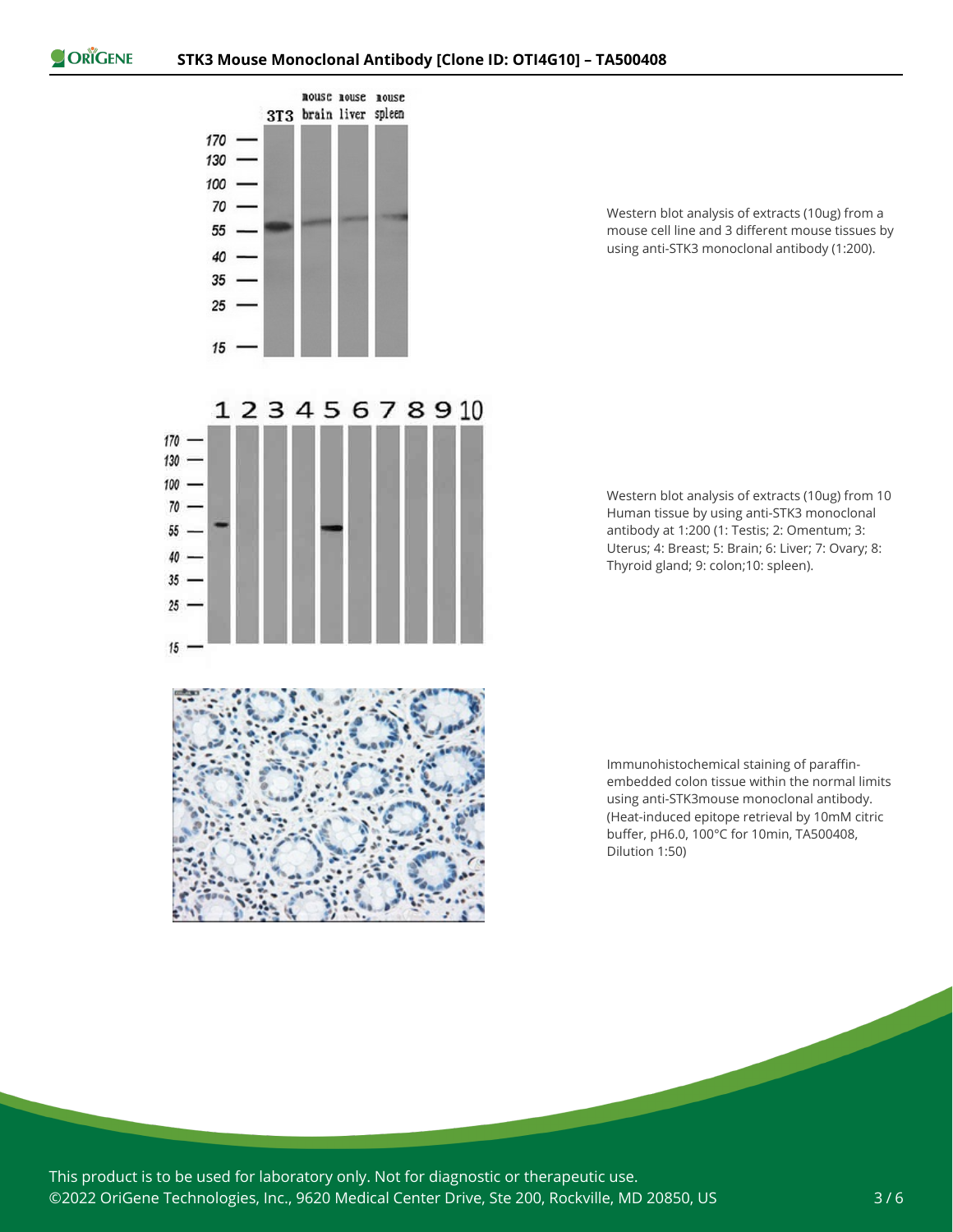$15$ 



12345678910

Western blot analysis of extracts (10ug) from a mouse cell line and 3 different mouse tissues by using anti-STK3 monoclonal antibody (1:200).

Western blot analysis of extracts (10ug) from 10 Human tissue by using anti-STK3 monoclonal antibody at 1:200 (1: Testis; 2: Omentum; 3: Uterus; 4: Breast; 5: Brain; 6: Liver; 7: Ovary; 8: Thyroid gland; 9: colon;10: spleen).



Immunohistochemical staining of paraffinembedded colon tissue within the normal limits using anti-STK3mouse monoclonal antibody. (Heat-induced epitope retrieval by 10mM citric buffer, pH6.0, 100°C for 10min, TA500408, Dilution 1:50)

This product is to be used for laboratory only. Not for diagnostic or therapeutic use. ©2022 OriGene Technologies, Inc., 9620 Medical Center Drive, Ste 200, Rockville, MD 20850, US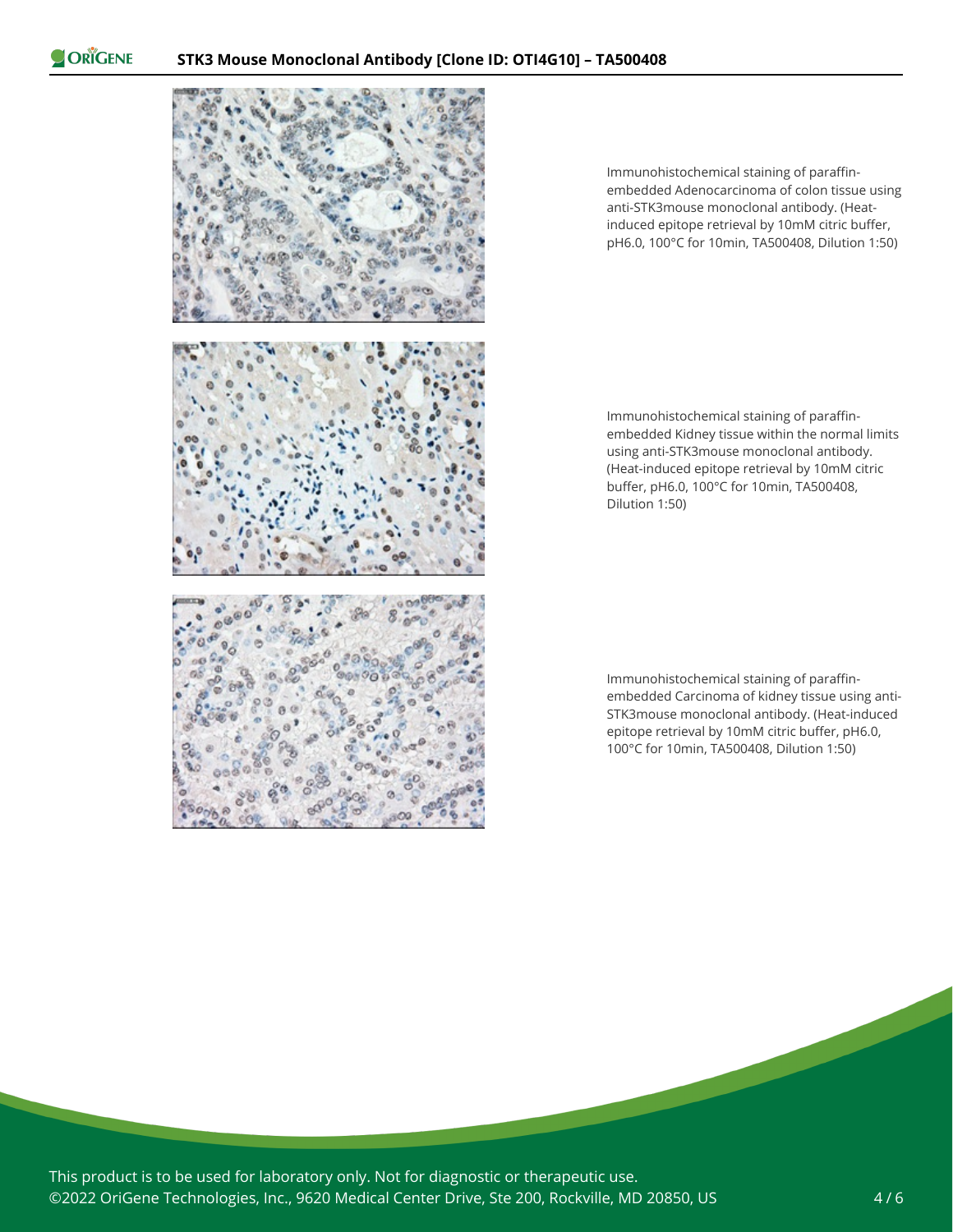ORIGENE



Immunohistochemical staining of paraffinembedded Adenocarcinoma of colon tissue using anti-STK3mouse monoclonal antibody. (Heatinduced epitope retrieval by 10mM citric buffer, pH6.0, 100°C for 10min, TA500408, Dilution 1:50)

Immunohistochemical staining of paraffinembedded Kidney tissue within the normal limits using anti-STK3mouse monoclonal antibody. (Heat-induced epitope retrieval by 10mM citric buffer, pH6.0, 100°C for 10min, TA500408, Dilution 1:50)

Immunohistochemical staining of paraffinembedded Carcinoma of kidney tissue using anti-STK3mouse monoclonal antibody. (Heat-induced epitope retrieval by 10mM citric buffer, pH6.0, 100°C for 10min, TA500408, Dilution 1:50)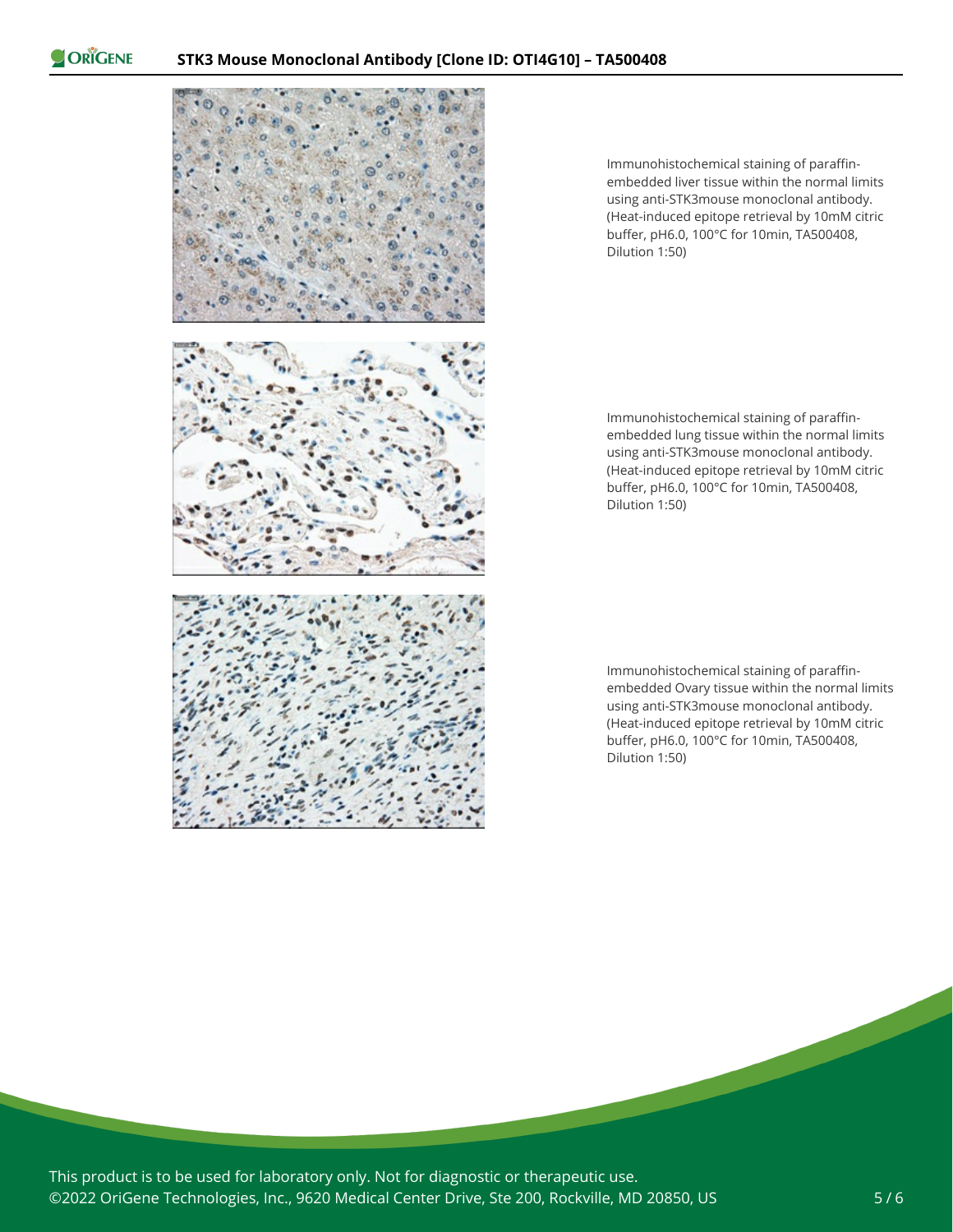ORIGENE



Immunohistochemical staining of paraffinembedded liver tissue within the normal limits using anti-STK3mouse monoclonal antibody. (Heat-induced epitope retrieval by 10mM citric buffer, pH6.0, 100°C for 10min, TA500408, Dilution 1:50)

Immunohistochemical staining of paraffinembedded lung tissue within the normal limits using anti-STK3mouse monoclonal antibody. (Heat-induced epitope retrieval by 10mM citric buffer, pH6.0, 100°C for 10min, TA500408, Dilution 1:50)

Immunohistochemical staining of paraffinembedded Ovary tissue within the normal limits using anti-STK3mouse monoclonal antibody. (Heat-induced epitope retrieval by 10mM citric buffer, pH6.0, 100°C for 10min, TA500408, Dilution 1:50)